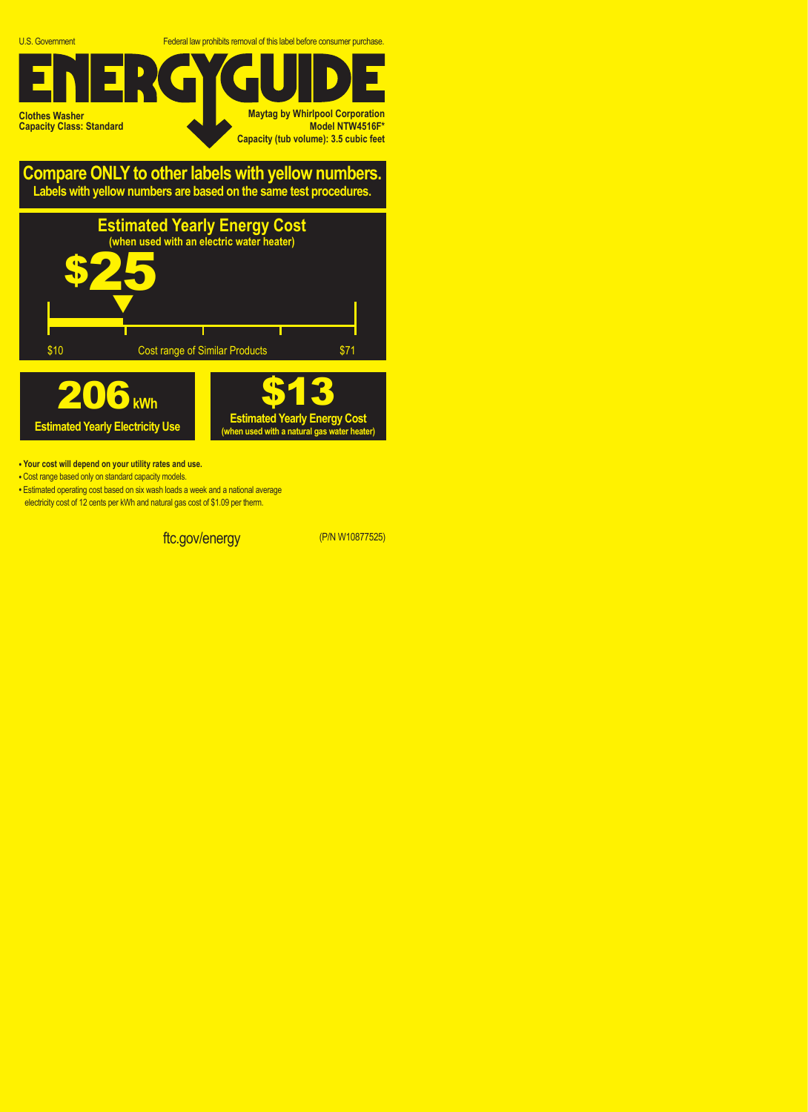U.S. Government Federal law prohibits removal of this label before consumer purchase.

**Clothes Washer Capacity Class: Standard Maytag by Whirlpool Corporation Model NTW4516F\* Capacity (tub volume): 3.5 cubic feet**

**Compare ONLY to other labels with yellow numbers. Labels with yellow numbers are based on the same test procedures.**



- **Your cost will depend on your utility rates and use.**
- **•** Cost range based only on standard capacity models.
- **•** Estimated operating cost based on six wash loads a week and a national average electricity cost of 12 cents per kWh and natural gas cost of \$1.09 per therm.

ftc.gov/energy (P/N W10877525)